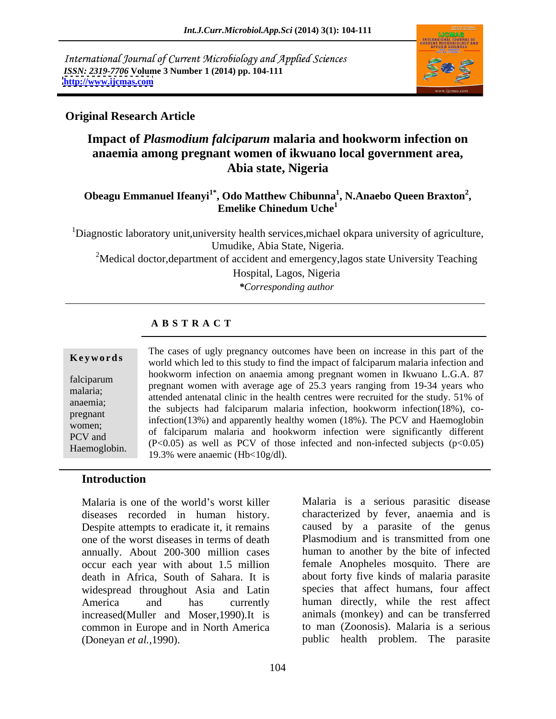International Journal of Current Microbiology and Applied Sciences *ISSN: 2319-7706* **Volume 3 Number 1 (2014) pp. 104-111 <http://www.ijcmas.com>**



### **Original Research Article**

# **Impact of** *Plasmodium falciparum* **malaria and hookworm infection on anaemia among pregnant women of ikwuano local government area, Abia state, Nigeria**

#### **Obeagu Emmanuel Ifeanyi1\* , Odo Matthew Chibunna<sup>1</sup> , N.Anaebo Queen Braxton 2 , Emelike Chinedum Uche<sup>1</sup>**

<sup>1</sup>Diagnostic laboratory unit, university health services, michael okpara university of agriculture, Umudike, Abia State, Nigeria. <sup>2</sup>Medical doctor, department of accident and emergency, lagos state University Teaching Hospital, Lagos, Nigeria

*\*Corresponding author* 

### **A B S T R A C T**

#### **Keywords** world which led to this study to find the impact of falciparum malaria infection and falciparum hookworm incetion on anaemia among pregnant women in Kwaano E.O.A. 67<br>melerie:<br>melerie: malaria;<br>attended antenatal clinic in the health centres were recruited for the study. 51% of anaemia;<br>
the subjects had falciparum malaria infection, hookworm infection(18%), copregnant infection(13%) and apparently healthy women (18%). The PCV and Haemoglobin  $\mu$ women;<br>women;<br> $\epsilon$  falsing was a station of booknown infection was significantly different Women,<br>  $PCV$  and  $(2.0.05)$  as well as  $DCV$  of these infected and non-infected evolutions ( $\pi$  ( $0.05$ ) **Keywords**<br>
The cases of ugly pregnancy outcomes have been on increase in this part of the<br>
world which led to this study to find the impact of falciparum malaria infection and<br>
hookworm infection on anaemia among pregnan hookworm infection on anaemia among pregnant women in Ikwuano L.G.A. 87  $(P<0.05)$  as well as PCV of those infected and non-infected subjects ( $p<0.05$ )

19.3% were anaemic (Hb<10g/dl).

### **Introduction**

Malaria is one of the world's worst killer Malaria is a serious parasitic disease diseases recorded in human history. characterized by fever, anaemia and is Despite attempts to eradicate it, it remains caused by a parasite of the genus one of the worst diseases in terms of death Plasmodium and is transmitted from one one of the worst diseases in terms of death annually. About 200-300 million cases occur each year with about 1.5 million death in Africa, South of Sahara. It is about forty five kinds of malaria parasite widespread throughout Asia and Latin species that affect humans, four affect America and has currently human directly, while the rest affect increased(Muller and Moser,1990).It is animals (monkey) and can be transferred common in Europe and in North America (Doneyan *et al.,*1990). public health problem. The parasite

caused by a parasite of the genus Plasmodium and is transmitted from one human to another by the bite of infected female Anopheles mosquito. There are to man (Zoonosis). Malaria is a serious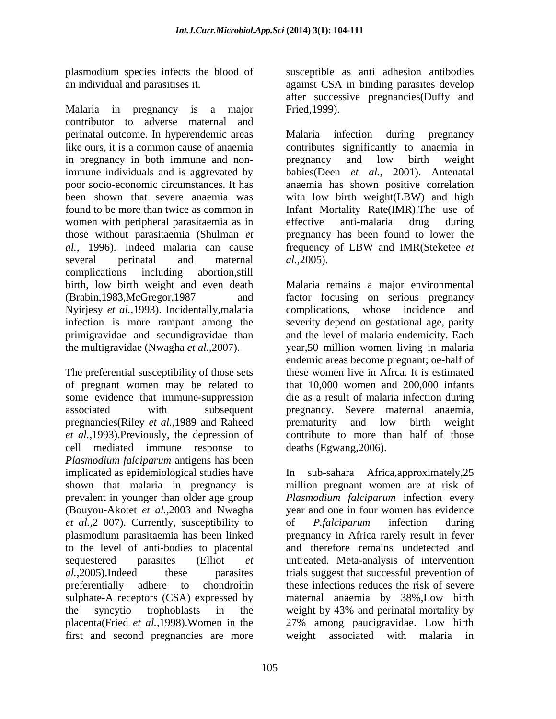Malaria in pregnancy is a major Fried, 1999). contributor to adverse maternal and perinatal outcome. In hyperendemic areas Malaria infection during pregnancy like ours, it is a common cause of anaemia contributes significantly to anaemia in in pregnancy in both immune and non-<br>pregnancy and low birth weight immune individuals and is aggrevated by babies(Deen *et al.,* 2001). Antenatal poor socio-economic circumstances. It has anaemia has shown positive correlation been shown that severe anaemia was with low birth weight(LBW) and high found to be more than twice as common in Infant Mortality Rate(IMR).The use of women with peripheral parasitaemia as in effective anti-malaria drug during those without parasitaemia (Shulman *et* pregnancy has been found to lower the *al.*, 1996). Indeed malaria can cause frequency of LBW and IMR(Steketee et several perinatal and maternal al., 2005). complications including abortion,still birth, low birth weight and even death Malaria remains a major environmental (Brabin,1983,McGregor,1987 and factor focusing on serious pregnancy Nyirjesy *et al.,*1993). Incidentally,malaria infection is more rampant among the severity depend on gestational age, parity primigravidae and secundigravidae than and the level of malaria endemicity. Each the multigravidae (Nwagha *et al.,*2007). year,50 million women living in malaria

The preferential susceptibility of those sets of pregnant women may be related to that 10,000 women and 200,000 infants some evidence that immune-suppression associated with subsequent pregnancy. Severe maternal anaemia, pregnancies(Riley *et al.,*1989 and Raheed *et al.,*1993).Previously, the depression of contribute to more than half of those cell mediated immune response to *Plasmodium falciparum* antigens has been implicated as epidemiological studies have In sub-sahara Africa,approximately,25 shown that malaria in pregnancy is million pregnant women are at risk of prevalent in younger than older age group *Plasmodium falciparum* infection every (Bouyou-Akotet *et al.,*2003 and Nwagha year and one in four women has evidence *et al.,*2 007). Currently, susceptibility to plasmodium parasitaemia has been linked pregnancy in Africa rarely result in fever to the level of anti-bodies to placental and therefore remains undetected and sequestered parasites (Elliot *et*  untreated. Meta-analysis of intervention *al.,*2005).Indeed these parasites trials suggest that successful prevention of preferentially adhere to chondroitin these infections reduces the risk of severe sulphate-A receptors (CSA) expressed by the syncytio trophoblasts in the weight by 43% and perinatal mortality by placenta(Fried *et al.,*1998).Women in the 27% among paucigravidae. Low birth first and second pregnancies are more

plasmodium species infects the blood of susceptible as anti adhesion antibodies an individual and parasitises it. against CSA in binding parasites develop after successive pregnancies(Duffy and Fried,1999).

> Malaria infection during pregnancy pregnancy and low birth weight effective anti-malaria drug during frequency of LBW and IMR(Steketee *et al.,*2005).

complications, whose incidence endemic areas become pregnant; oe-half of these women live in Afrca. It is estimated die as a result of malaria infection during prematurity and low birth weight deaths (Egwang,2006).

of *P.falciparum* infection during maternal anaemia by 38%,Low birth weight by 43% and perinatal mortality by weight associated with malaria in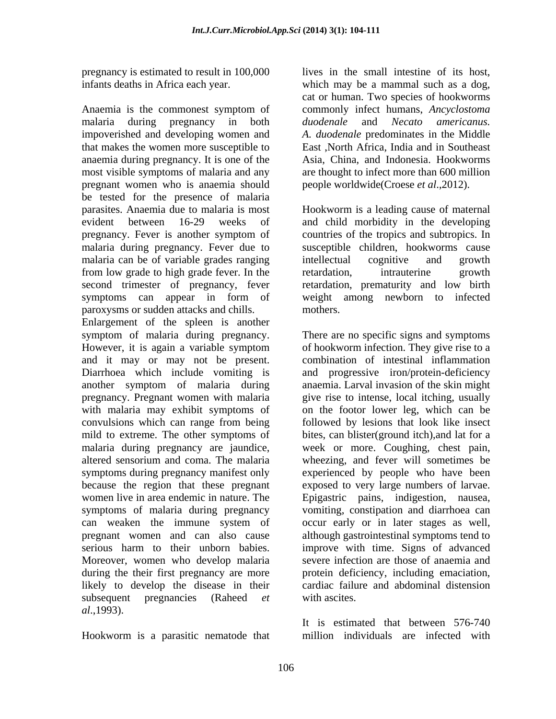pregnancy is estimated to result in 100,000

Anaemia is the commonest symptom of malaria during pregnancy in both *duodenale* and *Necato americanus*. impoverished and developing women and A. *duodenale* predominates in the Middle that makes the women more susceptible to anaemia during pregnancy. It is one of the most visible symptoms of malaria and any pregnant women who is anaemia should be tested for the presence of malaria parasites. Anaemia due to malaria is most Hookworm is a leading cause of maternal evident between 16-29 weeks of and child morbidity in the developing pregnancy. Fever is another symptom of countries of the tropics and subtropics. In malaria during pregnancy. Fever due to malaria can be of variable grades ranging intellectual cognitive and growth from low grade to high grade fever. In the second trimester of pregnancy, fever retardation, prematurity and low birth symptoms can appear in form of paroxysms or sudden attacks and chills.

Enlargement of the spleen is another symptom of malaria during pregnancy. There are no specific signs and symptoms However, it is again a variable symptom of hookworm infection. They give rise to a and it may or may not be present. combination of intestinal inflammation Diarrhoea which include vomiting is another symptom of malaria during anaemia. Larval invasion of the skin might pregnancy. Pregnant women with malaria give rise to intense, local itching, usually with malaria may exhibit symptoms of on the footor lower leg, which can be convulsions which can range from being followed by lesions that look like insect mild to extreme. The other symptoms of bites, can blister(ground itch),and lat for a malaria during pregnancy are jaundice, week or more. Coughing, chest pain, altered sensorium and coma. The malaria wheezing, and fever will sometimes be symptoms during pregnancy manifest only experienced by people who have been because the region that these pregnant exposed to very large numbers of larvae. women live in area endemic in nature. The Epigastric pains, indigestion, nausea, symptoms of malaria during pregnancy vomiting, constipation and diarrhoea can can weaken the immune system of pregnant women and can also cause although gastrointestinal symptoms tend to serious harm to their unborn babies. improve with time. Signs of advanced Moreover, women who develop malaria during the their first pregnancy are more protein deficiency, including emaciation, likely to develop the disease in their subsequent pregnancies (Raheed *et* with ascites. *al*.,1993).

Hookworm is a parasitic nematode that

infants deaths in Africa each year. which may be a mammal such as a dog, lives in the small intestine of its host, cat or human. Two species of hookworms commonly infect humans, *Ancyclostoma duodenale* and *Necato americanus. A. duodenale* predominates in the Middle East ,North Africa, India and in Southeast Asia, China, and Indonesia. Hookworms are thought to infect more than 600 million people worldwide(Croese *et al*.,2012).

> susceptible children, hookworms cause intellectual cognitive and growth retardation, intrauterine growth weight among newborn to infected mothers.

and progressive iron/protein-deficiency occur early or in later stages as well, severe infection are those of anaemia and cardiac failure and abdominal distension with ascites.

It is estimated that between 576-740 million individuals are infected with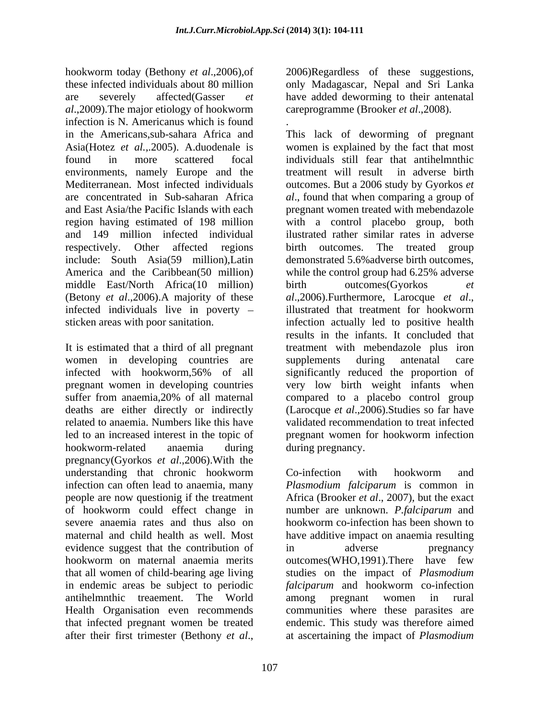hookworm today (Bethony *et al*.,2006),of 2006)Regardless of these suggestions, these infected individuals about 80 million only Madagascar, Nepal and Sri Lanka are severely affected(Gasser *et*  have added deworming to their antenatal *al*.,2009).The major etiology of hookworm infection is N. Americanus which is found in the Americans, sub-sahara Africa and This lack of deworming of pregnant environments, namely Europe and the respectively. Other affected regions middle East/North Africa(10 million) birth outcomes(Gyorkos et (Betony *et al*.,2006).A majority of these infected individuals live in poverty - illustrated that treatment for hookworm

It is estimated that a third of all pregnant women in developing countries are supplements during antenatal care related to anaemia. Numbers like this have hookworm-related anaemia during during pregnancy. pregnancy(Gyorkos *et al*.,2006).With the understanding that chronic hookworm infection can often lead to anaemia, many *Plasmodium falciparum* is common in people are now questionig if the treatment Africa (Brooker *et al*., 2007), but the exact of hookworm could effect change in number are unknown. *P.falciparum* and severe anaemia rates and thus also on hookworm co-infection has been shown to maternal and child health as well. Most have additive impact on anaemia resulting evidence suggest that the contribution of  $\qquad$  in  $\qquad$  adverse  $\qquad$  pregnancy hookworm on maternal anaemia merits that all women of child-bearing age living studies on the impact of *Plasmodium*  in endemic areas be subject to periodic *falciparum* and hookworm co-infection antihelmnthic treaement. The World Health Organisation even recommends communities where these parasites are that infected pregnant women be treated endemic. This study was therefore aimed after their first trimester (Bethony *et al*., at ascertaining the impact of *Plasmodium* 

careprogramme (Brooker *et al*.,2008).

Asia(Hotez *et al.,*.2005). A.duodenale is women is explained by the fact that most found in more scattered focal individuals still fear that antihelmnthic Mediterranean. Most infected individuals outcomes. But a 2006 study by Gyorkos *et*  are concentrated in Sub-saharan Africa *al*., found that when comparing a group of and East Asia/the Pacific Islands with each pregnant women treated with mebendazole region having estimated of 198 million with a control placebo group, both and 149 million infected individual ilustrated rather similar rates in adverse include: South Asia(59 million),Latin demonstrated 5.6%adverse birth outcomes, America and the Caribbean(50 million) while the control group had 6.25% adverse sticken areas with poor sanitation. infection actually led to positive health infected with hookworm,56% of all pregnant women in developing countries very low birth weight infants when suffer from anaemia, 20% of all maternal compared to a placebo control group deaths are either directly or indirectly (Larocque *et al*.,2006).Studies so far have led to an increased interest in the topic of pregnant women for hookworm infection .This lack of deworming of pregnant treatment will result in adverse birth birth outcomes. The treated group birth outcomes(Gyorkos *et al*.,2006).Furthermore, Larocque *et al*., illustrated that treatment for hookworm results in the infants. It concluded that treatment with mebendazole plus iron supplements during antenatal care significantly reduced the proportion of compared to a placebo control group validated recommendation to treat infected during pregnancy.

> Co-infection with hookworm and in adverse pregnancy outcomes(WHO,1991).There have few *falciparum* and hookworm co-infection among pregnant women in rural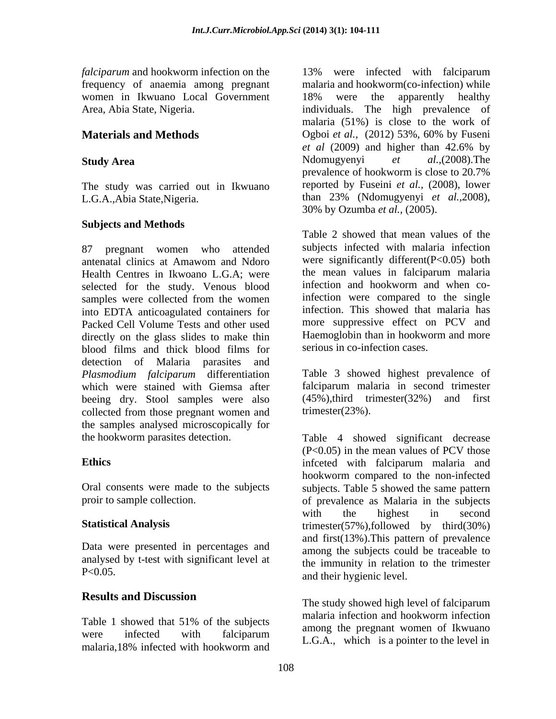*falciparum* and hookworm infection on the 13% were infected with falciparum women in Ikwuano Local Government 18% were the apparently healthy

The study was carried out in Ikwuano

### **Subjects and Methods**

antenatal clinics at Amawom and Ndoro were significantly different  $(P<0.05)$  both Health Centres in Ikwoano L.G.A; were the mean values in falciparum malaria<br>selected for the study Venous blood infection and hookworm and when coselected for the study. Venous blood samples were collected from the women into EDTA anticoagulated containers for Packed Cell Volume Tests and other used directly on the glass slides to make thin blood films and thick blood films for detection of Malaria parasites and *Plasmodium falciparum* differentiation which were stained with Giemsa after beeing dry. Stool samples were also collected from those pregnant women and the samples analysed microscopically for

Data were presented in percentages and analysed by t-test with significant level at

# **Results and Discussion**

malaria,18% infected with hookworm and E.O.A., which is a pointer to the level in

frequency of anaemia among pregnant malaria and hookworm(co-infection) while Area, Abia State, Nigeria. individuals. The high prevalence of **Materials and Methods** Ogboi *et al.,* (2012) 53%, 60% by Fuseni Study Area **Summary Area** Ndomugyenyi *et al.*, (2008). The L.G.A.,Abia State,Nigeria. than 23% (Ndomugyenyi *et al.,*2008), 13% were infected with falciparum 18% were the apparently healthy malaria (51%) is close to the work of *et al* (2009) and higher than 42.6% by Ndomugyenyi *et al.,*(2008).The prevalence of hookworm is close to 20.7% reported by Fuseini *et al.,* (2008), lower 30% by Ozumba *et al.,* (2005).

87 pregnant women who attended subjects infected with malaria infection Table 2 showed that mean values of the were significantly different(P<0.05) both the mean values in falciparum malaria infection and hookworm and when coinfection were compared to the single infection. This showed that malaria has more suppressive effect on PCV and Haemoglobin than in hookworm and more serious in co-infection cases.

> Table 3 showed highest prevalence of falciparum malaria in second trimester (45%),third trimester(32%) and first trimester(23%).

the hookworm parasites detection. Table 4 showed significant decrease **Ethics** infceted with falciparum malaria and Oral consents were made to the subjects subjects. Table 5 showed the same pattern proir to sample collection. of prevalence as Malaria in the subjects **Statistical Analysis** trimester(57%),followed by third(30%) P<0.05. and their hygienic level. (P<0.05) in the mean values of PCV those hookworm compared to the non-infected with the highest in second and first(13%).This pattern of prevalence among the subjects could be traceable to the immunity in relation to the trimester

Table 1 showed that 51% of the subjects maintain incerton and hook worm incertion were infected with falciparum  $\overline{ACA}$  which is a pointer to the level in The study showed high level of falciparum malaria infection and hookworm infection among the pregnant women of Ikwuano L.G.A., which is a pointer to the level in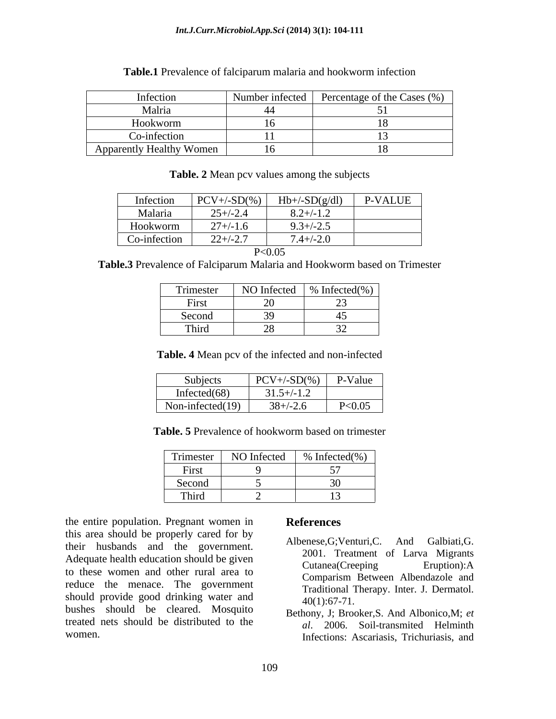#### *Int.J.Curr.Microbiol.App.Sci* **(2014) 3(1): 104-111**

#### **Table.1** Prevalence of falciparum malaria and hookworm infection

| Infection                | Number infected | Percentage of the Cases (%) |
|--------------------------|-----------------|-----------------------------|
| Malria                   |                 |                             |
| <b>TT</b><br>Hookworm    |                 |                             |
| Co-infection             |                 |                             |
| Apparently Healthy Women | $\sim$<br>1 U   |                             |

| Table. 2 Mean pcy values among the su | subjects |  |  |
|---------------------------------------|----------|--|--|
|                                       |          |  |  |

| Infection    | $PCV+\{-SD(\%)\}$ | $Hb+/-SD(g/dl)$ | <b>P-VALUE</b> |
|--------------|-------------------|-----------------|----------------|
| Malaria      | $25 + (-2.4)$     | $8.2 + / -1.2$  |                |
| Hookworm     | $27 + (-1.6)$     | $9.3 + (-2.5)$  |                |
| Co-infection | $22+/-2.7$        | $7.4 + (-2.0)$  |                |
|              | <u>ים ה</u>       | $0.03$          |                |

| < 0.05<br>p. |  |
|--------------|--|
|--------------|--|

**Table.3** Prevalence of Falciparum Malaria and Hookworm based on Trimester

| Trimester             | NO Infected | $\%$ Infected $(\% )$ |
|-----------------------|-------------|-----------------------|
| $\mathbf{r}$<br>First | $\sim$      |                       |
| Second                |             |                       |
| Third                 |             |                       |

**Table. 4** Mean pcv of the infected and non-infected

| Subjects            | $D\cap V$<br>$-SD%$                                      | P-Value |
|---------------------|----------------------------------------------------------|---------|
| Infected $(68)$     | .<br>$\sim$ $\sim$<br>$\overline{\phantom{a}}$<br>، ب. ب |         |
| Non-infected $(19)$ | $\sim$<br>$\sim$ $\sim$<br>$X+\mathcal{L}$ .             | P<0.05  |

**Table. 5** Prevalence of hookworm based on trimester

| $\sim$<br>Trimester    | NO Infected | Infected $(\% )$<br>$ -$ |
|------------------------|-------------|--------------------------|
| $\sim$<br><b>FIISU</b> |             |                          |
| Second                 |             |                          |
| Third                  |             |                          |

the entire population. Pregnant women in References this area should be properly cared for by their husbands and the government. Adequate health education should be given<br>Cutanea (Creeping Eruption): A to these women and other rural area to reduce the menace. The government should provide good drinking water and  $40(1):67-71$ . bushes should be cleared. Mosquito treated nets should be distributed to the

## **References**

- Albenese,G;Venturi,C. And Galbiati,G. 2001. Treatment of Larva Migrants Cutanea(Creeping Eruption):A Comparism Between Albendazole and Traditional Therapy. Inter. J. Dermatol.  $40(1):67-71.$
- women. Infections: Ascariasis, Trichuriasis, and Bethony, J; Brooker,S. And Albonico,M; *et al*. 2006. Soil-transmited Helminth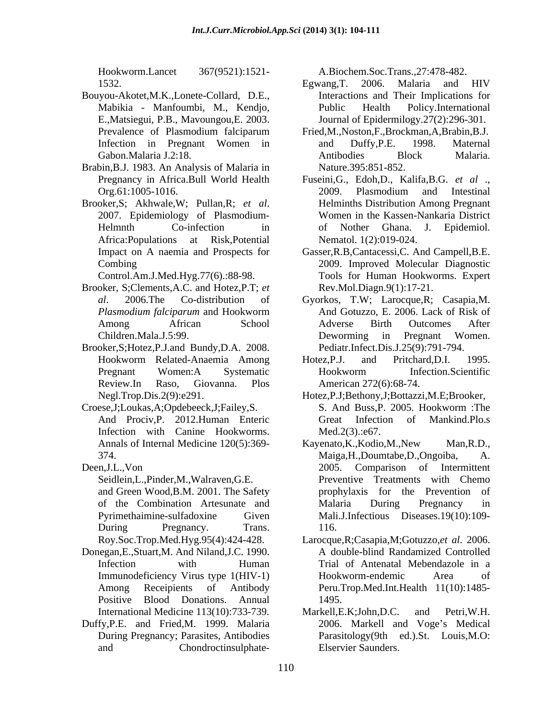Hookworm.Lancet 367(9521):1521-

- Bouyou-Akotet,M.K.,Lonete-Collard, D.E., E.,Matsiegui, P.B., Mavoungou,E. 2003.
- Brabin,B.J. 1983. An Analysis of Malaria in
- 

- Brooker, S;Clements,A.C. and Hotez,P.T; *et*
- Brooker,S;Hotez,P.J.and Bundy,D.A. 2008.
- Croese,J;Loukas,A;Opdebeeck,J;Failey,S. Infection with Canine Hookworms. Med.2(3)::e67.
- 

- Donegan,E.,Stuart,M. And Niland,J.C. 1990.
- Duffy,P.E. and Fried,M. 1999. Malaria

- 1532. Egwang, T. 2006. Malaria and HIV Mabikia - Manfoumbi, M., Kendjo, Egwang,T. 2006. Malaria and HIV Interactions and Their Implications for Public Health Policy.International Journal of Epidermilogy.27(2):296-301.
- Prevalence of Plasmodium falciparum Fried, M., Noston, F., Brockman, A., Brabin, B.J. Infection in Pregnant Women in and Duffy, P.E. 1998. Maternal Gabon.Malaria J.2:18. Fried,M.,Noston,F.,Brockman,A,Brabin,B.J. and Duffy,P.E. 1998. Maternal Antibodies Block Malaria. Nature.395:851-852.
- Pregnancy in Africa.Bull World Health Fuseini,G., Edoh,D., Kalifa,B.G. *et al* ., Org.61:1005-1016. Brooker,S; Akhwale,W; Pullan,R; *et al*. 2007. Epidemiology of Plasmodium- Helmnth Co-infection in of Nother Ghana. J. Epidemiol. Africa:Populations at Risk,Potential Nematol. 1(2):019-024. 2009. Plasmodium and Intestinal Helminths Distribution Among Pregnant Women in the Kassen-Nankaria District of Nother Ghana. J. Epidemiol.
	- Impact on A naemia and Prospects for Gasser,R.B,Cantacessi,C. And Campell,B.E. Combing 2009. Improved Molecular Diagnostic Control.Am.J.Med.Hyg.77(6).:88-98. Tools for Human Hookworms. Expert Rev.Mol.Diagn.9(1):17-21.
	- *al*. 2006.The Co-distribution of Gyorkos, T.W; Larocque,R; Casapia,M. *Plasmodium falciparum* and Hookworm Among African School Adverse Birth Outcomes After Children.Mala.J.5:99. And Gotuzzo, E. 2006. Lack of Risk of Adverse Birth Outcomes After Deworming in Pregnant Women. Pediatr.Infect.Dis.J.25(9):791-794.
	- Hookworm Related-Anaemia Among Hotez, P.J. and Pritchard, D.I. 1995. Pregnant Women:A Systematic Hookworm Infection.Scientific Review.In Raso, Giovanna. Plos Hotez,P.J. and Pritchard,D.I. 1995. Hookworm Infection.Scientific American 272(6):68-74.
	- Negl.Trop.Dis.2(9):e291. Hotez,P.J;Bethony,J;Bottazzi,M.E;Brooker, And Prociv,P. 2012.Human Enteric S. And Buss,P. 2005. Hookworm :The Great Infection of Mankind.Plo.s  $Med.2(3).:e67.$
- Annals of Internal Medicine 120(5):369-<br>Kayenato, K., Kodio, M., New Man, R.D., 374. Maiga,H.,Doumtabe,D.,Ongoiba, A. Deen,J.L.,Von 2005. Comparison of Intermittent Seidlein,L.,Pinder,M.,Walraven,G.E. Preventive Treatments with Chemo and Green Wood, B.M. 2001. The Safety energy prophylaxis for the Prevention of of the Combination Artesunate and Pyrimethaimine-sulfadoxine Given Mali.J.Infectious Diseases.19(10):109- During Pregnancy. Trans. 116. However and the state of the state of the state of the state of the state of the state of the state of the state of the state of the state of the state of the state of the state of the state of the state of the state of th Kayenato,K.,Kodio,M.,New Man,R.D., prophylaxis for the Prevention Malaria During Pregnancy in 116.
	- Roy.Soc.Trop.Med.Hyg.95(4):424-428. Larocque,R;Casapia,M;Gotuzzo,*et al*. 2006. Infection with Human Trial of Antenatal Mebendazole in a Immunodeficiency Virus type 1(HIV-1) Among Receipients of Antibody Peru.Trop.Med.Int.Health 11(10):1485- Positive Blood Donations. Annual A double-blind Randamized Controlled Hookworm-endemic Area of 1495.
	- International Medicine 113(10):733-739. Markell, E.K. John, D.C. and Petri, W.H. During Pregnancy; Parasites, Antibodies Parasitology(9th ed.).St. Louis,M.O: Markell,E.K;John,D.C. and Petri,W.H. 2006. Markell and Voge's Medical Elservier Saunders.